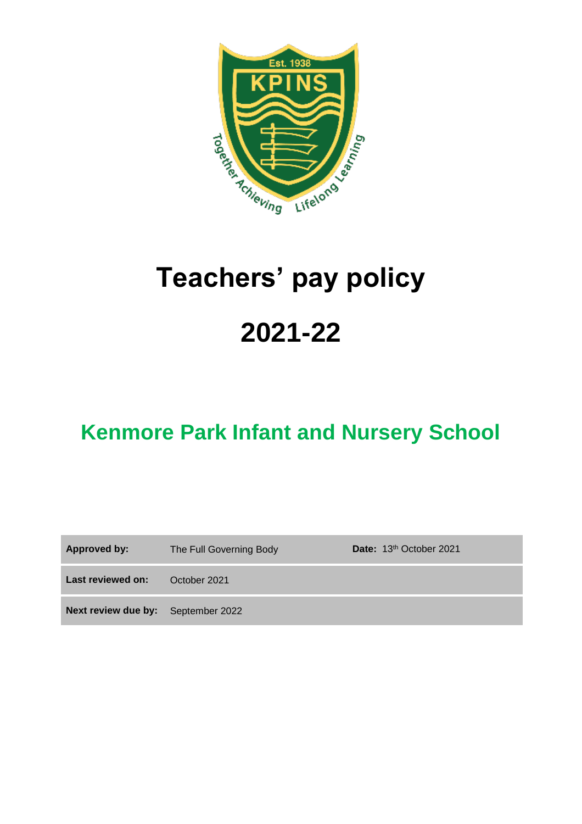

# **Teachers' pay policy**

# **2021-22**

# **Kenmore Park Infant and Nursery School**

| <b>Approved by:</b>                | The Full Governing Body | Date: 13th October 2021 |
|------------------------------------|-------------------------|-------------------------|
| Last reviewed on:                  | October 2021            |                         |
| Next review due by: September 2022 |                         |                         |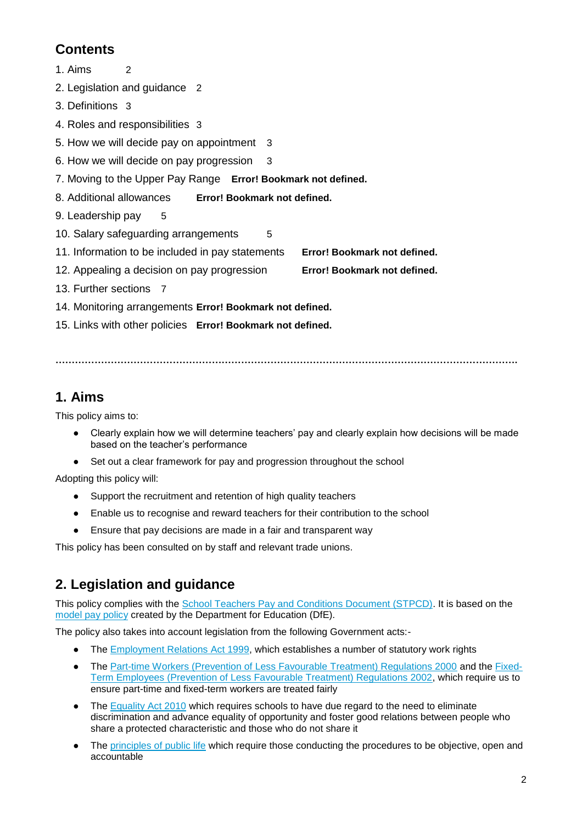## **Contents**

- 1. Aims 2
- 2. Legislation and guidance 2
- 3. Definitions 3
- 4. Roles and responsibilities 3
- 5. How we will decide pay on appointment 3
- 6. How we will decide on pay progression 3
- 7. Moving to the Upper Pay Range **Error! Bookmark not defined.**
- 8. Additional allowances **Error! Bookmark not defined.**
- 9. Leadership pay 5
- 10. Salary safeguarding arrangements 5
- 11. Information to be included in pay statements **Error! Bookmark not defined.**
- 12. Appealing a decision on pay progression **Error! Bookmark not defined.**
- 13. Further sections 7
- 14. Monitoring arrangements **Error! Bookmark not defined.**
- 15. Links with other policies **Error! Bookmark not defined.**

**…………………………………………………………………………………………………………………………….**

## **1. Aims**

This policy aims to:

- Clearly explain how we will determine teachers' pay and clearly explain how decisions will be made based on the teacher's performance
- Set out a clear framework for pay and progression throughout the school

Adopting this policy will:

- Support the recruitment and retention of high quality teachers
- Enable us to recognise and reward teachers for their contribution to the school
- Ensure that pay decisions are made in a fair and transparent way

This policy has been consulted on by staff and relevant trade unions.

## **2. Legislation and guidance**

This policy complies with the [School Teachers Pay and Conditions Document \(STPCD\).](https://www.gov.uk/government/publications/school-teachers-pay-and-conditions) It is based on the [model pay policy](https://www.gov.uk/government/publications/reviewing-and-revising-school-teachers-pay) created by the Department for Education (DfE).

The policy also takes into account legislation from the following Government acts:-

- The [Employment Relations Act 1999,](http://www.legislation.gov.uk/ukpga/1999/26/contents) which establishes a number of statutory work rights
- The [Part-time Workers \(Prevention of Less Favourable Treatment\) Regulations 2000](http://www.legislation.gov.uk/uksi/2000/1551/contents/made) and the [Fixed-](http://www.legislation.gov.uk/uksi/2002/2034/contents)[Term Employees \(Prevention of Less Favourable Treatment\) Regulations 2002,](http://www.legislation.gov.uk/uksi/2002/2034/contents) which require us to ensure part-time and fixed-term workers are treated fairly
- The [Equality Act 2010](http://www.legislation.gov.uk/ukpga/2010/15/contents?) which requires schools to have due regard to the need to eliminate discrimination and advance equality of opportunity and foster good relations between people who share a protected characteristic and those who do not share it
- The [principles of public life](https://www.gov.uk/government/publications/the-7-principles-of-public-life/the-7-principles-of-public-life--2) which require those conducting the procedures to be objective, open and accountable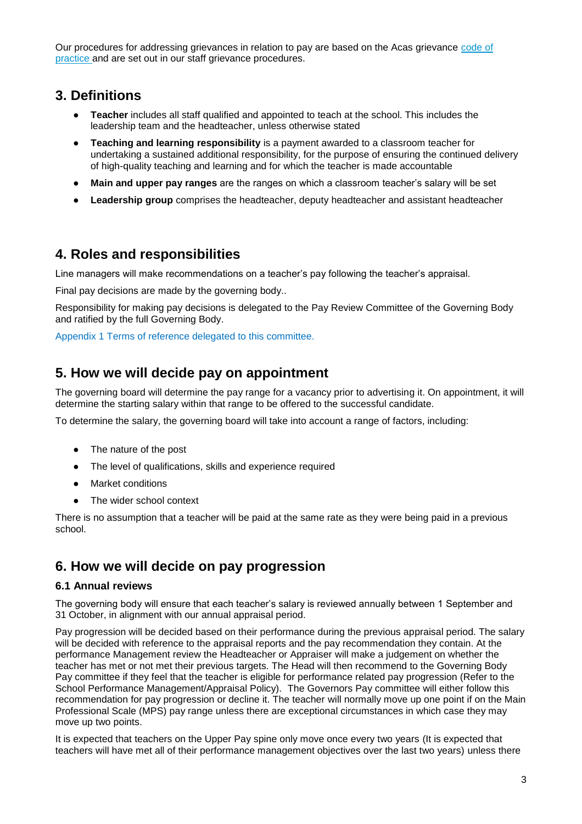Our procedures for addressing grievances in relation to pay are based on the Acas grievance [code of](http://www.acas.org.uk/media/pdf/f/m/Acas-Code-of-Practice-1-on-disciplinary-and-grievance-procedures.pdf)  [practice](http://www.acas.org.uk/media/pdf/f/m/Acas-Code-of-Practice-1-on-disciplinary-and-grievance-procedures.pdf) and are set out in our staff grievance procedures.

## **3. Definitions**

- **Teacher** includes all staff qualified and appointed to teach at the school. This includes the leadership team and the headteacher, unless otherwise stated
- **Teaching and learning responsibility** is a payment awarded to a classroom teacher for undertaking a sustained additional responsibility, for the purpose of ensuring the continued delivery of high-quality teaching and learning and for which the teacher is made accountable
- **Main and upper pay ranges** are the ranges on which a classroom teacher's salary will be set
- **Leadership group** comprises the headteacher, deputy headteacher and assistant headteacher

## **4. Roles and responsibilities**

Line managers will make recommendations on a teacher's pay following the teacher's appraisal.

Final pay decisions are made by the governing body..

Responsibility for making pay decisions is delegated to the Pay Review Committee of the Governing Body and ratified by the full Governing Body.

Appendix 1 Terms of reference delegated to this committee.

## **5. How we will decide pay on appointment**

The governing board will determine the pay range for a vacancy prior to advertising it. On appointment, it will determine the starting salary within that range to be offered to the successful candidate.

To determine the salary, the governing board will take into account a range of factors, including:

- The nature of the post
- The level of qualifications, skills and experience required
- **Market conditions**
- The wider school context

There is no assumption that a teacher will be paid at the same rate as they were being paid in a previous school.

## **6. How we will decide on pay progression**

#### **6.1 Annual reviews**

The governing body will ensure that each teacher's salary is reviewed annually between 1 September and 31 October, in alignment with our annual appraisal period.

Pay progression will be decided based on their performance during the previous appraisal period. The salary will be decided with reference to the appraisal reports and the pay recommendation they contain. At the performance Management review the Headteacher or Appraiser will make a judgement on whether the teacher has met or not met their previous targets. The Head will then recommend to the Governing Body Pay committee if they feel that the teacher is eligible for performance related pay progression (Refer to the School Performance Management/Appraisal Policy). The Governors Pay committee will either follow this recommendation for pay progression or decline it. The teacher will normally move up one point if on the Main Professional Scale (MPS) pay range unless there are exceptional circumstances in which case they may move up two points.

It is expected that teachers on the Upper Pay spine only move once every two years (It is expected that teachers will have met all of their performance management objectives over the last two years) unless there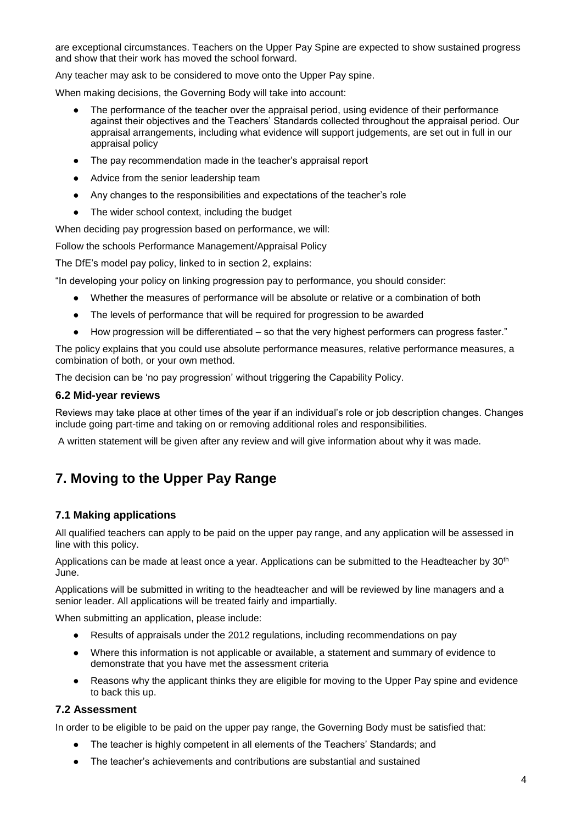are exceptional circumstances. Teachers on the Upper Pay Spine are expected to show sustained progress and show that their work has moved the school forward.

Any teacher may ask to be considered to move onto the Upper Pay spine.

When making decisions, the Governing Body will take into account:

- The performance of the teacher over the appraisal period, using evidence of their performance against their objectives and the Teachers' Standards collected throughout the appraisal period. Our appraisal arrangements, including what evidence will support judgements, are set out in full in our appraisal policy
- The pay recommendation made in the teacher's appraisal report
- Advice from the senior leadership team
- Any changes to the responsibilities and expectations of the teacher's role
- The wider school context, including the budget

When deciding pay progression based on performance, we will:

Follow the schools Performance Management/Appraisal Policy

The DfE's model pay policy, linked to in section 2, explains:

"In developing your policy on linking progression pay to performance, you should consider:

- Whether the measures of performance will be absolute or relative or a combination of both
- The levels of performance that will be required for progression to be awarded
- How progression will be differentiated so that the very highest performers can progress faster."

The policy explains that you could use absolute performance measures, relative performance measures, a combination of both, or your own method.

The decision can be 'no pay progression' without triggering the Capability Policy.

#### **6.2 Mid-year reviews**

Reviews may take place at other times of the year if an individual's role or job description changes. Changes include going part-time and taking on or removing additional roles and responsibilities.

A written statement will be given after any review and will give information about why it was made.

## **7. Moving to the Upper Pay Range**

#### **7.1 Making applications**

All qualified teachers can apply to be paid on the upper pay range, and any application will be assessed in line with this policy.

Applications can be made at least once a year. Applications can be submitted to the Headteacher by 30<sup>th</sup> June.

Applications will be submitted in writing to the headteacher and will be reviewed by line managers and a senior leader. All applications will be treated fairly and impartially.

When submitting an application, please include:

- Results of appraisals under the 2012 regulations, including recommendations on pay
- Where this information is not applicable or available, a statement and summary of evidence to demonstrate that you have met the assessment criteria
- Reasons why the applicant thinks they are eligible for moving to the Upper Pay spine and evidence to back this up.

#### **7.2 Assessment**

In order to be eligible to be paid on the upper pay range, the Governing Body must be satisfied that:

- The teacher is highly competent in all elements of the Teachers' Standards; and
- The teacher's achievements and contributions are substantial and sustained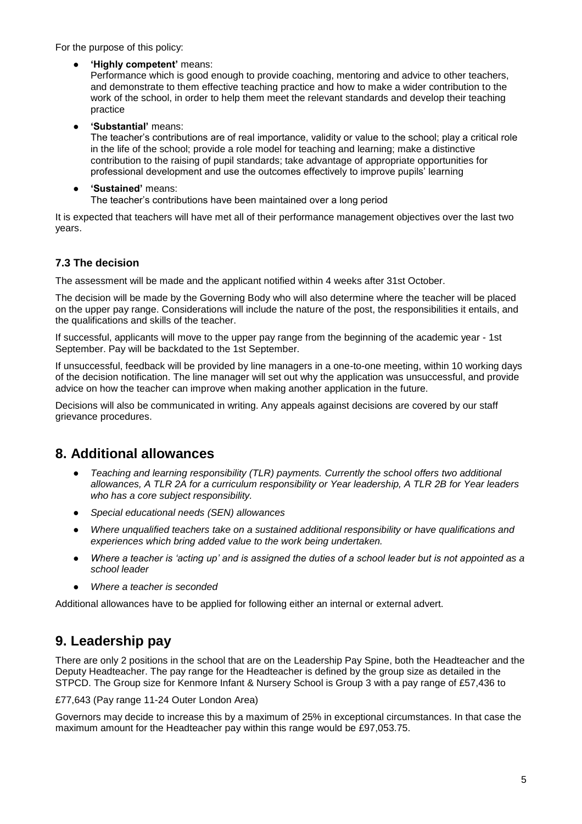For the purpose of this policy:

'Highly competent' means:

Performance which is good enough to provide coaching, mentoring and advice to other teachers, and demonstrate to them effective teaching practice and how to make a wider contribution to the work of the school, in order to help them meet the relevant standards and develop their teaching practice

● **'Substantial'** means:

The teacher's contributions are of real importance, validity or value to the school; play a critical role in the life of the school; provide a role model for teaching and learning; make a distinctive contribution to the raising of pupil standards; take advantage of appropriate opportunities for professional development and use the outcomes effectively to improve pupils' learning

● **'Sustained'** means:

The teacher's contributions have been maintained over a long period

It is expected that teachers will have met all of their performance management objectives over the last two years.

#### **7.3 The decision**

The assessment will be made and the applicant notified within 4 weeks after 31st October.

The decision will be made by the Governing Body who will also determine where the teacher will be placed on the upper pay range. Considerations will include the nature of the post, the responsibilities it entails, and the qualifications and skills of the teacher.

If successful, applicants will move to the upper pay range from the beginning of the academic year - 1st September. Pay will be backdated to the 1st September.

If unsuccessful, feedback will be provided by line managers in a one-to-one meeting, within 10 working days of the decision notification. The line manager will set out why the application was unsuccessful, and provide advice on how the teacher can improve when making another application in the future.

Decisions will also be communicated in writing. Any appeals against decisions are covered by our staff grievance procedures.

## **8. Additional allowances**

- *Teaching and learning responsibility (TLR) payments. Currently the school offers two additional allowances, A TLR 2A for a curriculum responsibility or Year leadership, A TLR 2B for Year leaders who has a core subject responsibility.*
- *Special educational needs (SEN) allowances*
- *Where unqualified teachers take on a sustained additional responsibility or have qualifications and experiences which bring added value to the work being undertaken.*
- *Where a teacher is 'acting up' and is assigned the duties of a school leader but is not appointed as a school leader*
- *Where a teacher is seconded*

Additional allowances have to be applied for following either an internal or external advert.

## **9. Leadership pay**

There are only 2 positions in the school that are on the Leadership Pay Spine, both the Headteacher and the Deputy Headteacher. The pay range for the Headteacher is defined by the group size as detailed in the STPCD. The Group size for Kenmore Infant & Nursery School is Group 3 with a pay range of £57,436 to

£77,643 (Pay range 11-24 Outer London Area)

Governors may decide to increase this by a maximum of 25% in exceptional circumstances. In that case the maximum amount for the Headteacher pay within this range would be £97,053.75.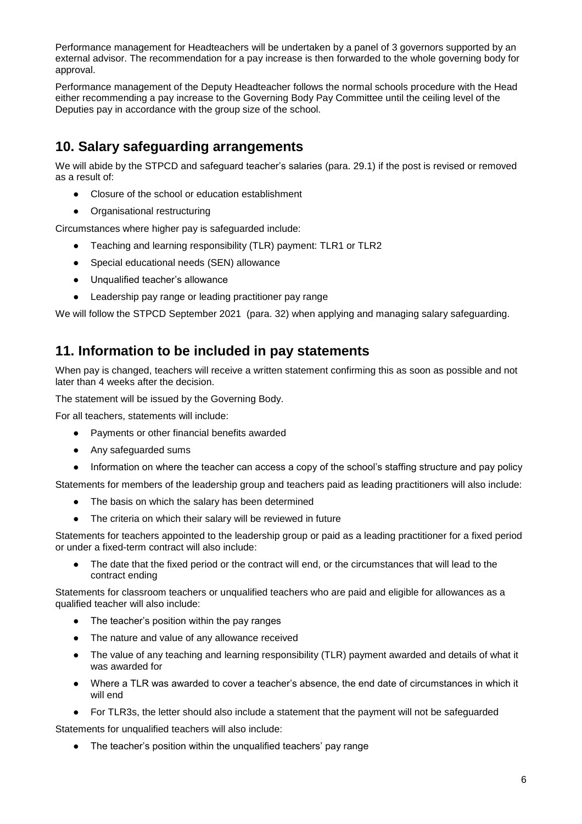Performance management for Headteachers will be undertaken by a panel of 3 governors supported by an external advisor. The recommendation for a pay increase is then forwarded to the whole governing body for approval.

Performance management of the Deputy Headteacher follows the normal schools procedure with the Head either recommending a pay increase to the Governing Body Pay Committee until the ceiling level of the Deputies pay in accordance with the group size of the school.

## **10. Salary safeguarding arrangements**

We will abide by the STPCD and safeguard teacher's salaries (para. 29.1) if the post is revised or removed as a result of:

- Closure of the school or education establishment
- Organisational restructuring

Circumstances where higher pay is safeguarded include:

- Teaching and learning responsibility (TLR) payment: TLR1 or TLR2
- Special educational needs (SEN) allowance
- Unqualified teacher's allowance
- Leadership pay range or leading practitioner pay range

We will follow the STPCD September 2021 (para. 32) when applying and managing salary safeguarding.

## **11. Information to be included in pay statements**

When pay is changed, teachers will receive a written statement confirming this as soon as possible and not later than 4 weeks after the decision.

The statement will be issued by the Governing Body.

For all teachers, statements will include:

- Payments or other financial benefits awarded
- Any safeguarded sums
- Information on where the teacher can access a copy of the school's staffing structure and pay policy

Statements for members of the leadership group and teachers paid as leading practitioners will also include:

- The basis on which the salary has been determined
- The criteria on which their salary will be reviewed in future

Statements for teachers appointed to the leadership group or paid as a leading practitioner for a fixed period or under a fixed-term contract will also include:

• The date that the fixed period or the contract will end, or the circumstances that will lead to the contract ending

Statements for classroom teachers or unqualified teachers who are paid and eligible for allowances as a qualified teacher will also include:

- The teacher's position within the pay ranges
- The nature and value of any allowance received
- The value of any teaching and learning responsibility (TLR) payment awarded and details of what it was awarded for
- Where a TLR was awarded to cover a teacher's absence, the end date of circumstances in which it will end
- For TLR3s, the letter should also include a statement that the payment will not be safeguarded

Statements for unqualified teachers will also include:

● The teacher's position within the unqualified teachers' pay range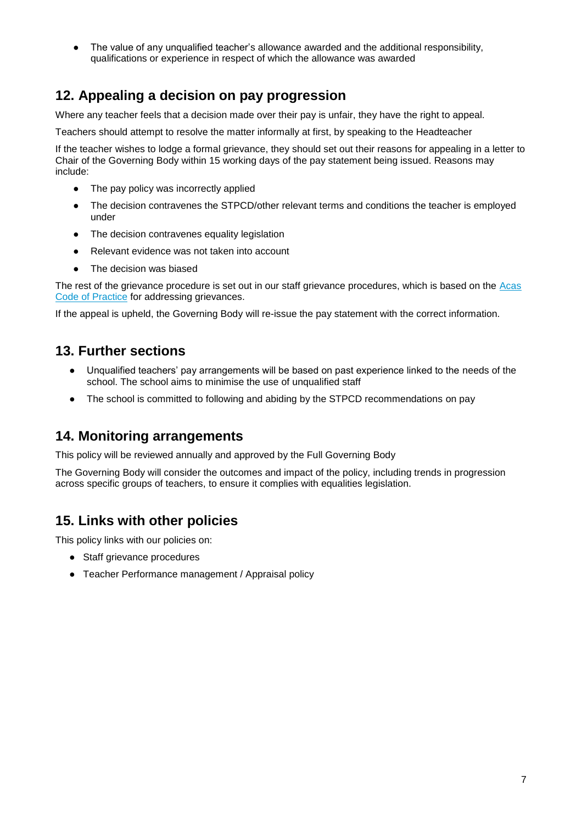The value of any unqualified teacher's allowance awarded and the additional responsibility, qualifications or experience in respect of which the allowance was awarded

## **12. Appealing a decision on pay progression**

Where any teacher feels that a decision made over their pay is unfair, they have the right to appeal.

Teachers should attempt to resolve the matter informally at first, by speaking to the Headteacher

If the teacher wishes to lodge a formal grievance, they should set out their reasons for appealing in a letter to Chair of the Governing Body within 15 working days of the pay statement being issued. Reasons may include:

- The pay policy was incorrectly applied
- The decision contravenes the STPCD/other relevant terms and conditions the teacher is employed under
- The decision contravenes equality legislation
- Relevant evidence was not taken into account
- The decision was biased

The rest of the grievance procedure is set out in our staff grievance procedures, which is based on the [Acas](http://www.acas.org.uk/media/pdf/f/m/Acas-Code-of-Practice-1-on-disciplinary-and-grievance-procedures.pdf)  [Code of Practice](http://www.acas.org.uk/media/pdf/f/m/Acas-Code-of-Practice-1-on-disciplinary-and-grievance-procedures.pdf) for addressing grievances.

If the appeal is upheld, the Governing Body will re-issue the pay statement with the correct information.

### **13. Further sections**

- Unqualified teachers' pay arrangements will be based on past experience linked to the needs of the school. The school aims to minimise the use of unqualified staff
- The school is committed to following and abiding by the STPCD recommendations on pay

#### **14. Monitoring arrangements**

This policy will be reviewed annually and approved by the Full Governing Body

The Governing Body will consider the outcomes and impact of the policy, including trends in progression across specific groups of teachers, to ensure it complies with equalities legislation.

## **15. Links with other policies**

This policy links with our policies on:

- Staff grievance procedures
- Teacher Performance management / Appraisal policy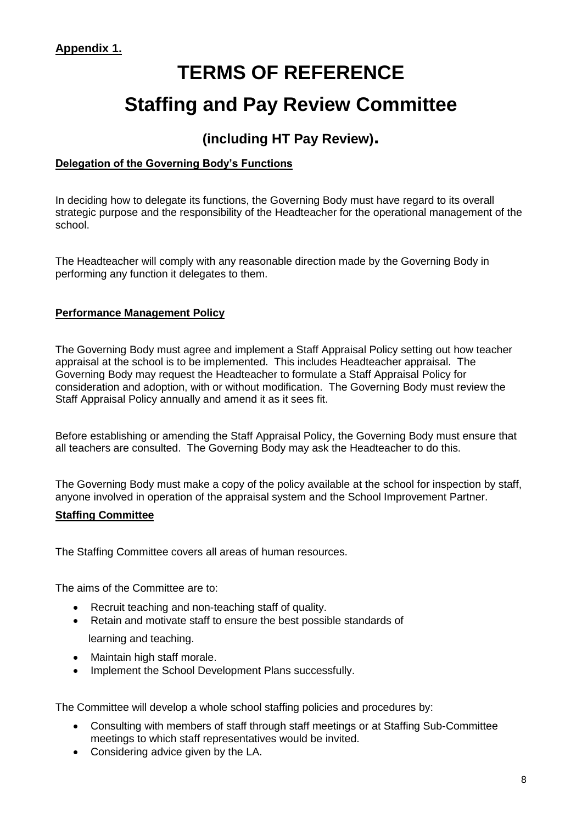# **TERMS OF REFERENCE Staffing and Pay Review Committee**

## **(including HT Pay Review).**

#### **Delegation of the Governing Body's Functions**

In deciding how to delegate its functions, the Governing Body must have regard to its overall strategic purpose and the responsibility of the Headteacher for the operational management of the school.

The Headteacher will comply with any reasonable direction made by the Governing Body in performing any function it delegates to them.

#### **Performance Management Policy**

The Governing Body must agree and implement a Staff Appraisal Policy setting out how teacher appraisal at the school is to be implemented. This includes Headteacher appraisal. The Governing Body may request the Headteacher to formulate a Staff Appraisal Policy for consideration and adoption, with or without modification. The Governing Body must review the Staff Appraisal Policy annually and amend it as it sees fit.

Before establishing or amending the Staff Appraisal Policy, the Governing Body must ensure that all teachers are consulted. The Governing Body may ask the Headteacher to do this.

The Governing Body must make a copy of the policy available at the school for inspection by staff, anyone involved in operation of the appraisal system and the School Improvement Partner.

#### **Staffing Committee**

The Staffing Committee covers all areas of human resources.

The aims of the Committee are to:

- Recruit teaching and non-teaching staff of quality.
- Retain and motivate staff to ensure the best possible standards of learning and teaching.
- Maintain high staff morale.
- Implement the School Development Plans successfully.

The Committee will develop a whole school staffing policies and procedures by:

- Consulting with members of staff through staff meetings or at Staffing Sub-Committee meetings to which staff representatives would be invited.
- Considering advice given by the LA.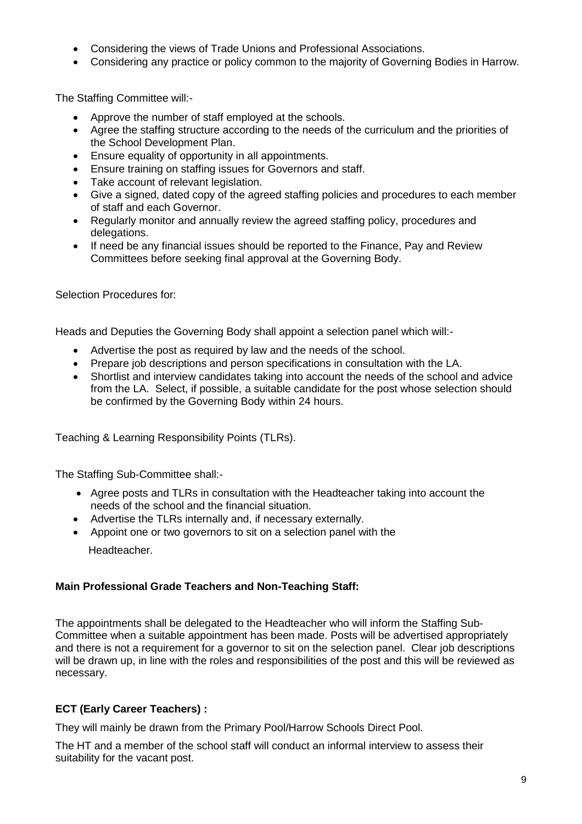- Considering the views of Trade Unions and Professional Associations.
- Considering any practice or policy common to the majority of Governing Bodies in Harrow.

The Staffing Committee will:-

- Approve the number of staff employed at the schools.
- Agree the staffing structure according to the needs of the curriculum and the priorities of the School Development Plan.
- Ensure equality of opportunity in all appointments.
- Ensure training on staffing issues for Governors and staff.
- Take account of relevant legislation.
- Give a signed, dated copy of the agreed staffing policies and procedures to each member of staff and each Governor.
- Regularly monitor and annually review the agreed staffing policy, procedures and delegations.
- If need be any financial issues should be reported to the Finance, Pay and Review Committees before seeking final approval at the Governing Body.

Selection Procedures for:

Heads and Deputies the Governing Body shall appoint a selection panel which will:-

- Advertise the post as required by law and the needs of the school.
- Prepare job descriptions and person specifications in consultation with the LA.
- Shortlist and interview candidates taking into account the needs of the school and advice from the LA. Select, if possible, a suitable candidate for the post whose selection should be confirmed by the Governing Body within 24 hours.

Teaching & Learning Responsibility Points (TLRs).

The Staffing Sub-Committee shall:-

- Agree posts and TLRs in consultation with the Headteacher taking into account the needs of the school and the financial situation.
- Advertise the TLRs internally and, if necessary externally.
- Appoint one or two governors to sit on a selection panel with the Headteacher.

#### **Main Professional Grade Teachers and Non-Teaching Staff:**

The appointments shall be delegated to the Headteacher who will inform the Staffing Sub-Committee when a suitable appointment has been made. Posts will be advertised appropriately and there is not a requirement for a governor to sit on the selection panel. Clear job descriptions will be drawn up, in line with the roles and responsibilities of the post and this will be reviewed as necessary.

#### **ECT (Early Career Teachers) :**

They will mainly be drawn from the Primary Pool/Harrow Schools Direct Pool.

The HT and a member of the school staff will conduct an informal interview to assess their suitability for the vacant post.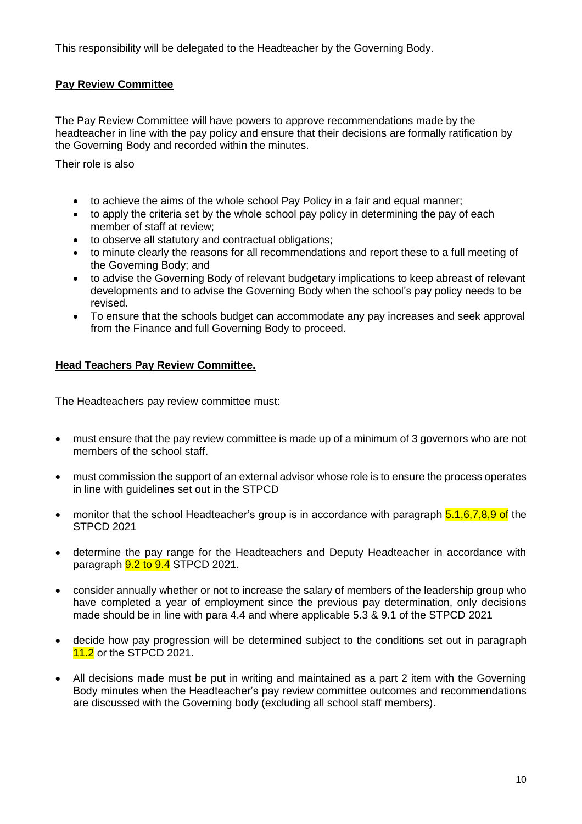This responsibility will be delegated to the Headteacher by the Governing Body.

#### **Pay Review Committee**

The Pay Review Committee will have powers to approve recommendations made by the headteacher in line with the pay policy and ensure that their decisions are formally ratification by the Governing Body and recorded within the minutes.

Their role is also

- to achieve the aims of the whole school Pay Policy in a fair and equal manner;
- to apply the criteria set by the whole school pay policy in determining the pay of each member of staff at review;
- to observe all statutory and contractual obligations;
- to minute clearly the reasons for all recommendations and report these to a full meeting of the Governing Body; and
- to advise the Governing Body of relevant budgetary implications to keep abreast of relevant developments and to advise the Governing Body when the school's pay policy needs to be revised.
- To ensure that the schools budget can accommodate any pay increases and seek approval from the Finance and full Governing Body to proceed.

#### **Head Teachers Pay Review Committee.**

The Headteachers pay review committee must:

- must ensure that the pay review committee is made up of a minimum of 3 governors who are not members of the school staff.
- must commission the support of an external advisor whose role is to ensure the process operates in line with guidelines set out in the STPCD
- monitor that the school Headteacher's group is in accordance with paragraph 5.1,6,7,8,9 of the STPCD 2021
- determine the pay range for the Headteachers and Deputy Headteacher in accordance with paragraph **9.2 to 9.4** STPCD 2021.
- consider annually whether or not to increase the salary of members of the leadership group who have completed a year of employment since the previous pay determination, only decisions made should be in line with para 4.4 and where applicable 5.3 & 9.1 of the STPCD 2021
- decide how pay progression will be determined subject to the conditions set out in paragraph **11.2** or the STPCD 2021.
- All decisions made must be put in writing and maintained as a part 2 item with the Governing Body minutes when the Headteacher's pay review committee outcomes and recommendations are discussed with the Governing body (excluding all school staff members).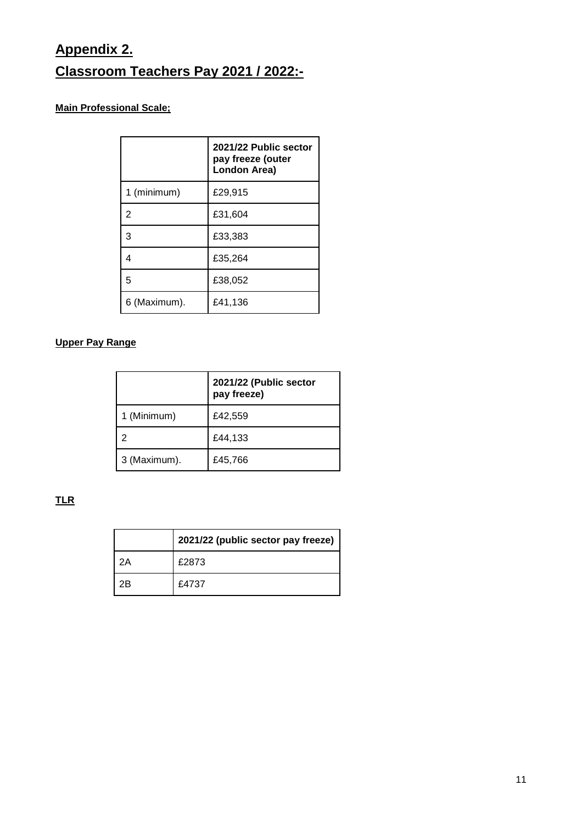## **Appendix 2. Classroom Teachers Pay 2021 / 2022:-**

### **Main Professional Scale;**

|              | 2021/22 Public sector<br>pay freeze (outer<br>London Area) |
|--------------|------------------------------------------------------------|
| 1 (minimum)  | £29,915                                                    |
| 2            | £31,604                                                    |
| 3            | £33,383                                                    |
| 4            | £35,264                                                    |
| 5            | £38,052                                                    |
| 6 (Maximum). | £41,136                                                    |

### **Upper Pay Range**

|              | 2021/22 (Public sector<br>pay freeze) |
|--------------|---------------------------------------|
| 1 (Minimum)  | £42,559                               |
|              | £44,133                               |
| 3 (Maximum). | £45,766                               |

**TLR**

|    | 2021/22 (public sector pay freeze) |
|----|------------------------------------|
| 2A | £2873                              |
| 2B | £4737                              |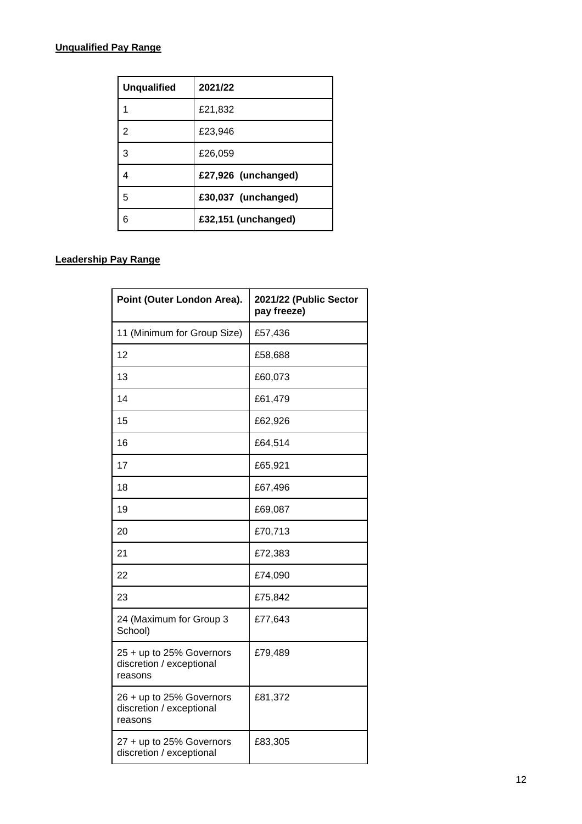#### **Unqualified Pay Range**

| <b>Unqualified</b> | 2021/22             |
|--------------------|---------------------|
|                    | £21,832             |
| 2                  | £23,946             |
| 3                  | £26,059             |
|                    | £27,926 (unchanged) |
| 5                  | £30,037 (unchanged) |
| 6                  | £32,151 (unchanged) |

#### **Leadership Pay Range**

| Point (Outer London Area).                                      | 2021/22 (Public Sector<br>pay freeze) |
|-----------------------------------------------------------------|---------------------------------------|
| 11 (Minimum for Group Size)                                     | £57,436                               |
| 12                                                              | £58,688                               |
| 13                                                              | £60,073                               |
| 14                                                              | £61,479                               |
| 15                                                              | £62,926                               |
| 16                                                              | £64,514                               |
| 17                                                              | £65,921                               |
| 18                                                              | £67,496                               |
| 19                                                              | £69,087                               |
| 20                                                              | £70,713                               |
| 21                                                              | £72,383                               |
| 22                                                              | £74,090                               |
| 23                                                              | £75,842                               |
| 24 (Maximum for Group 3<br>School)                              | £77,643                               |
| 25 + up to 25% Governors<br>discretion / exceptional<br>reasons | £79,489                               |
| 26 + up to 25% Governors<br>discretion / exceptional<br>reasons | £81,372                               |
| 27 + up to 25% Governors<br>discretion / exceptional            | £83,305                               |